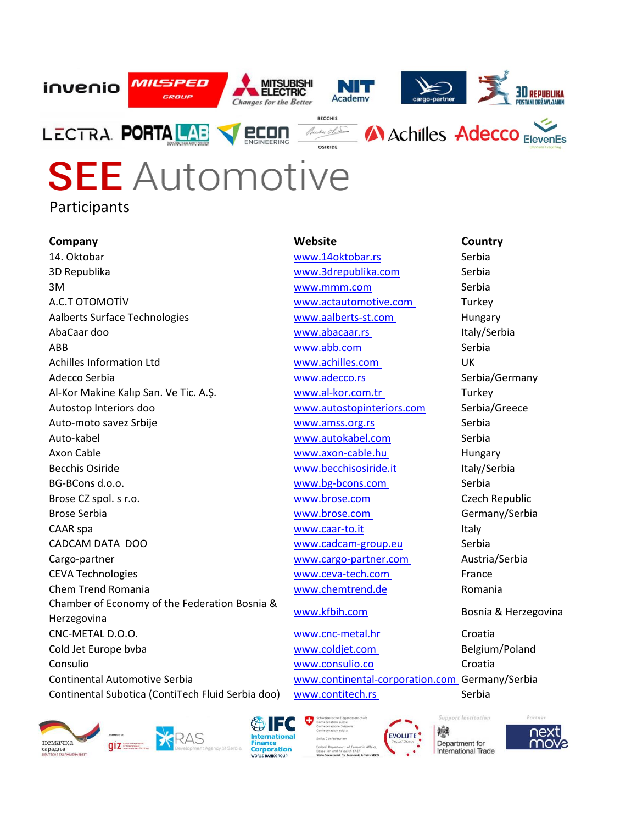

## **SEE** Automotive Participants

**Company Website Country** 14. Oktobar 1988 - Serbia Waww.14oktobar.rs Serbia 3D Republika www.3drepublika.com Serbia 3M 3M Serbia A.C.T OTOMOTİV **WWW.actautomotive.com** Turkey Aalberts Surface Technologies [www.aalberts-st.com](http://www.aalberts-st.com/) Hungary AbaCaar doo **www.abacaar.rs** Italy/Serbia ABB [www.abb.com](http://www.abb.com/) Serbia Achilles Information Ltd [www.achilles.com](http://www.achilles.com/) UK Adecco Serbia **WWW.adecco.rs** Serbia/Germany Al-Kor Makine Kalıp San. Ve Tic. A.Ş. www.al-kor.com.tr Turkey Autostop Interiors doo www.autostopinteriors.com Serbia/Greece Auto-moto savez Srbije et al. et al. et al. et al. et al. et al. et al. et al. et al. et al. et al. et al. et a Auto-kabel www.autokabel.com Serbia Axon Cable [www.axon-cable.hu](http://www.axon-cable.hu/) Hungary Becchis Osiride **Becchisositic** [www.becchisosiride.it](http://www.becchisosiride.it/) Italy/Serbia BG-BCons d.o.o. **Example 20 and Serbia** [www.bg-bcons.com](http://www.bg-bcons.com/) Serbia Brose CZ spol. s r.o. [www.brose.com](http://www.brose.com/) Czech Republic Brose Serbia **Brose.com** Germany/Serbia [www.brose.com](http://www.brose.com/) Germany/Serbia CAAR spa and the contract of the contract www.caar-to.it is a large state of the contract of the contract of the contract of the contract of the contract of the contract of the contract of the contract of the contract of t CADCAM DATA DOO [www.cadcam-group.eu](http://www.cadcam-group.eu/) Serbia Cargo-partner [www.cargo-partner.com](http://www.cargo-partner.com/) Austria/Serbia CEVA Technologies [www.ceva-tech.com](http://www.ceva-tech.com/) France Chem Trend Romania and Trend Romania www.chemtrend.de Romania Chamber of Economy of the Federation Bosnia & Enamples of Economy of the Posterion Bosnia and WWW.kfbih.com Bosnia & Herzegovina CNC-METAL D.O.O. [www.cnc-metal.hr](http://www.cnc-metal.hr/) Croatia Cold Jet Europe bvba [www.coldjet.com](http://www.coldjet.com/) Belgium/Poland Consulio www.consulio.co Croatia Continental Automotive Serbia [www.continental-corporation.com](http://www.continental-corporation.com/) Germany/Serbia Continental Subotica (ContiTech Fluid Serbia doo) [www.contitech.rs](http://www.contitech.rs/) Serbia







**Support Institution** 戀 Department for International Trade

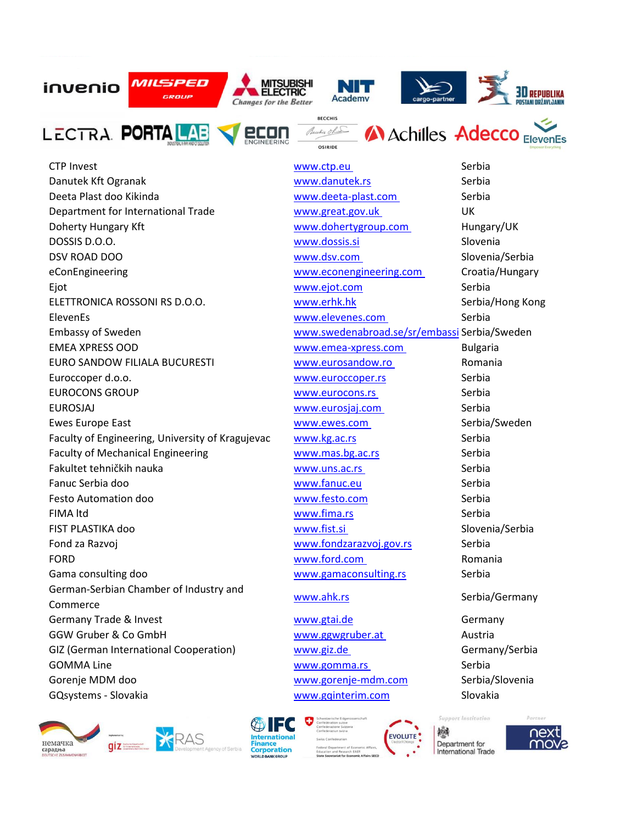

CTP Invest Serbia Danutek Kft Ogranak **www.danutek.rs** Serbia Deeta Plast doo Kikinda [www.deeta-plast.com](http://www.deeta-plast.com/) Serbia Department for International Trade [www.great.gov.uk](http://www.great.gov.uk/) UK Doherty Hungary Kft **WALLACK WWW.dohertygroup.com** Hungary/UK DOSSIS D.O.O. www.dossis.si Slovenia DSV ROAD DOO **WWW.dsv.com** Slovenia/Serbia eConEngineering [www.econengineering.com](http://www.econengineering.com/) Croatia/Hungary Ejot www.ejot.com Serbia ELETTRONICA ROSSONI RS D.O.O. Www.erhk.hk Serbia/Hong Kong ElevenEs [www.elevenes.com](http://www.elevenes.com/) Serbia Embassy of Sweden [www.swedenabroad.se/sr/embassi](http://www.swedenabroad.se/sr/embassies/srbija-beograd/) Serbia/Sweden EMEA XPRESS OOD [www.emea-xpress.com](http://www.emea-xpress.com/) Bulgaria EURO SANDOW FILIALA BUCURESTI WWW.eurosandow.ro Romania Euroccoper d.o.o. Serbia EUROCONS GROUP **WWW.EUROCONS GROUP WWW.EUROCONS SERBIA** EUROSJAJ [www.eurosjaj.com](http://www.eurosjaj.com/) Serbia Ewes Europe East National Accounts [www.ewes.com](http://www.ewes.com/) Serbia/Sweden Faculty of Engineering, University of Kragujevac [www.kg.ac.rs](http://www.kg.ac.rs/) Serbia Faculty of Mechanical Engineering The Communical Engineering Western Western Western Serbia Fakultet tehničkih nauka [www.uns.ac.rs](http://www.uns.ac.rs/) Serbia Fanuc Serbia doo [www.fanuc.eu](http://www.fanuc.eu/) Serbia Festo Automation doo [www.festo.com](http://www.festo.com/) Serbia FIMA ltd **Serbia Example 2018** WWW.fima.rs Serbia FIST PLASTIKA doo [www.fist.si](http://www.fist.si/) Slovenia/Serbia Fond za Razvoj **Kraljeva i kontrolikovanje i kontrolikovanje kao kao kontrolikovanje kao kao kontrolikovanje kao k**<br>Naseljen v Marijeva i kontrolikovanje v Marijeva i Serbia i Serbia i Serbia i Serbia i Serbia i Serbia i S FORD [www.ford.com](http://www.ford.com/) Romania Gama consulting doo ee www.gamaconsulting.rs Serbia German-Serbian Chamber of Industry and Commerce www.ahk.rs Serbia/Germany Germany Trade & Invest and American www.gtai.de and Germany GGW Gruber & Co GmbH WWW.ggwgruber.at Austria GIZ (German International Cooperation) [www.giz.de](http://www.giz.de/) Germany/Serbia GOMMA Line **Serbia** and the serbia [www.gomma.rs](http://www.gomma.rs/) Serbia Gorenje MDM doo [www.gorenje-mdm.com](http://www.gorenje-mdm.com/) Serbia/Slovenia GQsystems - Slovakia and South and Slovakia www.gqinterim.com Slovakia





**Support Institution** 戀 **EVOLUTE** Department for



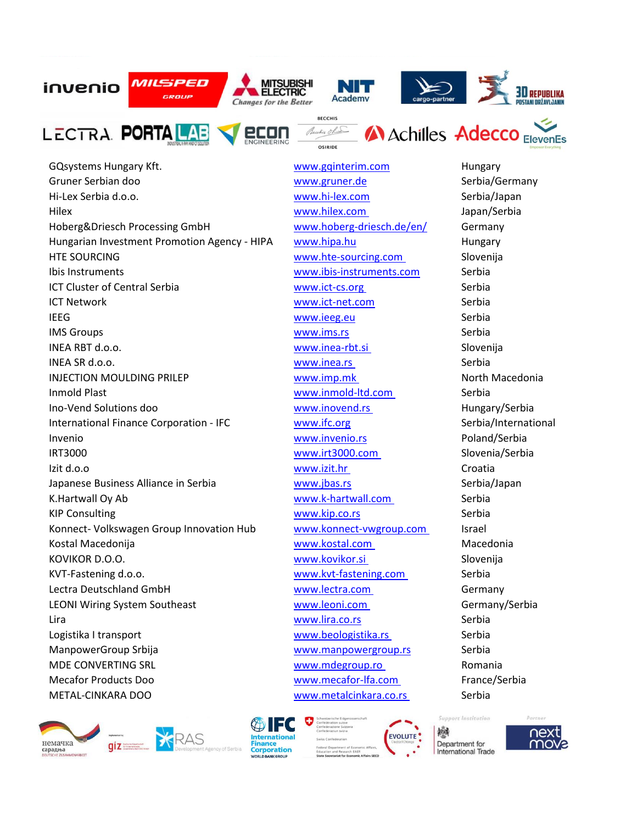

GQsystems Hungary Kft. etc. www.gqinterim.com and Hungary Gruner Serbian doo ee www.gruner.de Serbia/Germany Hi-Lex Serbia d.o.o. [www.hi-lex.com](http://www.hi-lex.com/) Serbia/Japan Hilex [www.hilex.com](http://www.hilex.com/) Japan/Serbia Hoberg&Driesch Processing GmbH www.hoberg-driesch.de/en/ Germany Hungarian Investment Promotion Agency - HIPA www.hipa.hu Hungary Hungary HTE SOURCING [www.hte-sourcing.com](http://www.hte-sourcing.com/) Slovenija Ibis Instruments [www.ibis-instruments.com](http://www.ibis-instruments.com/) Serbia ICT Cluster of Central Serbia by the control [www.ict-cs.org](http://www.ict-cs.org/) Serbia ICT Network www.ict-net.com Serbia IEEG www.ieeg.eu Serbia IMS Groups and the serbial www.ims.rs Serbial www.ims.rs Serbial Serbial Serbial Serbial Serbial Serbial Serbia INEA RBT d.o.o. www.inea-rbt.si Slovenija INEA SR d.o.o. **Serbia** and the serbial wave [www.inea.rs](http://www.inea.rs/) Serbial Serbial Serbial Serbial Serbial Serbial Serbial Serbial Serbial Serbial Serbial Serbial Serbial Serbial Serbial Serbial Serbial Serbial Serbial Serbial Serbi INJECTION MOULDING PRILEP **WWW.imp.mk** Www.imp.mk North Macedonia Inmold Plast [www.inmold-ltd.com](http://www.inmold-ltd.com/) Serbia Ino-Vend Solutions doo [www.inovend.rs](http://www.inovend.rs/) Hungary/Serbia International Finance Corporation - IFC www.ifc.org Serbia/International Invenio [www.invenio.rs](http://www.invenio.rs/) Poland/Serbia IRT3000 [www.irt3000.com](http://www.irt3000.com/) Slovenia/Serbia Izit d.o.o [www.izit.hr](http://www.izit.hr/) Croatia Japanese Business Alliance in Serbia buon www.jbas.rs Serbia/Japan K.Hartwall Oy Ab **Wartwall.com** [www.k-hartwall.com](http://www.k-hartwall.com/) Serbia KIP Consulting The Consulting Consulting Consulting WWW.kip.co.rs Serbia Konnect- Volkswagen Group Innovation Hub [www.konnect-vwgroup.com](http://www.konnect-vwgroup.com/) Israel Kostal Macedonija [www.kostal.com](http://www.kostal.com/) Macedonia KOVIKOR D.O.O. [www.kovikor.si](http://www.kovikor.si/) Slovenija KVT-Fastening d.o.o. **WATE:** [www.kvt-fastening.com](http://www.kvt-fastening.com/) Serbia Lectra Deutschland GmbH [www.lectra.com](http://www.lectra.com/) Germany LEONI Wiring System Southeast [www.leoni.com](http://www.leoni.com/) Germany/Serbia Lira **Extra anti-acceptable and anti-acceptable anti-acceptable anti-acceptable anti-acceptable anti-acceptable anti-acceptable and serbial serbial serbial serbial serbial serbial serbial serbial serbial serbial serbial se** Logistika I transport and the serbia [www.beologistika.rs](http://www.beologistika.rs/) Serbia ManpowerGroup Srbija www.manpowergroup.rs Serbia MDE CONVERTING SRL [www.mdegroup.ro](http://www.mdegroup.ro/) Romania Mecafor Products Doo **by Community Community** Mecafor-lfa.com France/Serbia METAL-CINKARA DOO [www.metalcinkara.co.rs](http://www.metalcinkara.co.rs/) Serbia







**Support Institution** 戀 Department for **International Trade** 

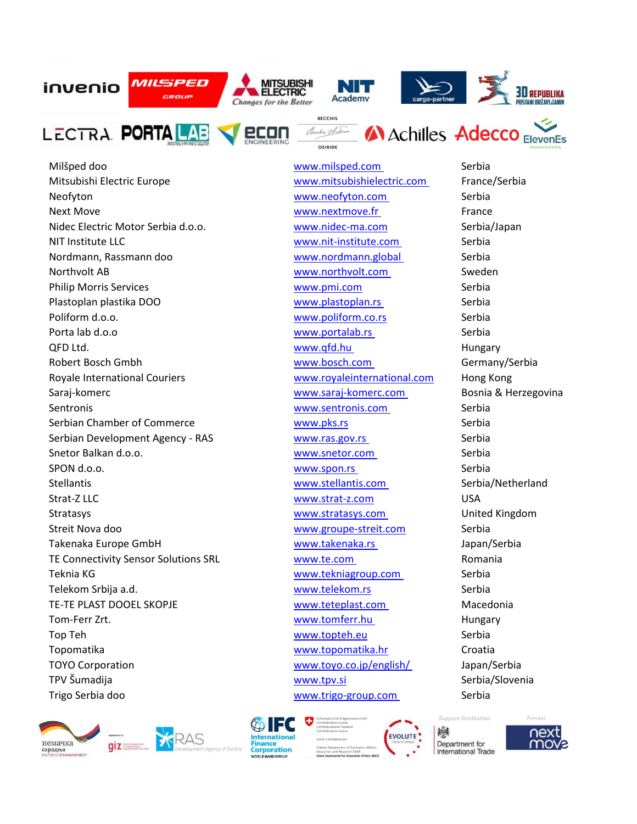





Mitsubishi Electric Europe [www.mitsubishielectric.com](http://www.mitsubishielectric.com/) France/Serbia Neofyton Serbia and Serbia [www.neofyton.com](http://www.neofyton.com/) Serbia Next Move **www.nextmove.fr** France Nidec Electric Motor Serbia d.o.o. et al. [www.nidec-ma.com](http://www.nidec-ma.com/) Serbia/Japan NIT Institute LLC [www.nit-institute.com](http://www.nit-institute.com/) Serbia Nordmann, Rassmann doo [www.nordmann.global](http://www.nordmann.global/) Serbia Northvolt AB [www.northvolt.com](http://www.northvolt.com/) Sweden Philip Morris Services and Serbia [www.pmi.com](http://www.pmi.com/) Serbia Plastoplan plastika DOO [www.plastoplan.rs](http://www.plastoplan.rs/) Serbia Poliform d.o.o. **WWW.poliform.co.rs** Serbia Porta lab d.o.o **www.portalab.rs** Serbia QFD Ltd. **WWW.qfd.hu Hungary** Hungary Robert Bosch Gmbh **WALLACK CONGROOT CONGROOT WWW.bosch.com** Germany/Serbia Royale International Couriers **WWW.**royaleinternational.com Hong Kong Saraj-komerc [www.saraj-komerc.com](http://www.saraj-komerc.com/) Bosnia & Herzegovina Sentronis [www.sentronis.com](http://www.sentronis.com/) Serbia Serbian Chamber of Commerce Www.pks.rs Www.pks.rs Serbia Serbian Development Agency - RAS [www.ras.gov.rs](http://www.ras.gov.rs/) Serbia Snetor Balkan d.o.o. [www.snetor.com](http://www.snetor.com/) Serbia SPON d.o.o. Serbia Stellantis [www.stellantis.com](http://www.stellantis.com/) Serbia/Netherland Strat-Z LLC USA Stratasys [www.stratasys.com](http://www.stratasys.com/) United Kingdom Streit Nova doo www.groupe-streit.com Serbia Takenaka Europe GmbH [www.takenaka.rs](http://www.takenaka.rs/) Japan/Serbia TE Connectivity Sensor Solutions SRL WWW.te.com Romania Teknia KG [www.tekniagroup.com](http://www.tekniagroup.com/) Serbia Telekom Srbija a.d. Serbia TE-TE PLAST DOOEL SKOPJE [www.teteplast.com](http://www.teteplast.com/) Macedonia Tom-Ferr Zrt. [www.tomferr.hu](http://www.tomferr.hu/) Hungary Top Teh Serbia Topomatika www.topomatika.hr Croatia TOYO Corporation [www.toyo.co.jp/english/](http://www.toyo.co.jp/english/) Japan/Serbia TPV Šumadija November 2008. Na osvoje se v Moralija v Moralija Serbia/Slovenia Trigo Serbia doo [www.trigo-group.com](http://www.trigo-group.com/) Serbia





Milšped doo [www.milsped.com](http://www.milsped.com/) Serbia

**Support Institution** 繊 Department for

**EVOLUTE** 



**International Trade**